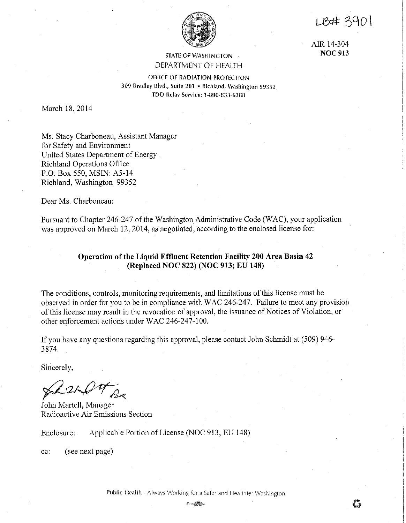$1.847390$ 



AIR 14-304 **NOC913** 

## STATE OF WASHINGTON DEPARTMENT OF HEALTH

OFFICE OF RADIATION PROTECTION 309 Bradley Blvd,, Suite 201 • Richland, Washington 99352 TDD Relay Service: 1-800,,833-6388

March 18, 2014

Ms, Stacy Charboneau, Assistant Manager for Safety and Environment United States Department of Energy Richland Operations Office P,O, Box 550, MSIN: A5-14 Richland, Washington 99352

Dear Ms, Charboneau:

Pursuant to Chapter 246-247 of the Washington Administrative Code (WAC), your application was approved on March 12, 2014, as negotiated, according to the enclosed license for:

# **Operation of the Liquid Effluent Retention Facility 200 Area Basin 42 (Replaced NOC 822) (NOC 913; EU 148)**

The conditions, controls, monitoring requirements, and limitations of this license must be observed in order for you to be in compliance with WAC 246-247, Failure to meet any provision of this license may result in the revocation of approval, the issuance of Notices of Violation, or other enforcement actions under WAC 246-247-100,

If you have any questions regarding this approval, please contact John Schmidt at (509) 946- 3874.

Sincerely,

*-/)*  ~ *,u ....* vv--~.  $\mathcal{L}$   $\mathcal{L}$ 

John Martell, Manager Radioactive Air Emissions Section

Enclosure: Applicable Portion of License (NOC 913; EU 148)

cc: (see next page)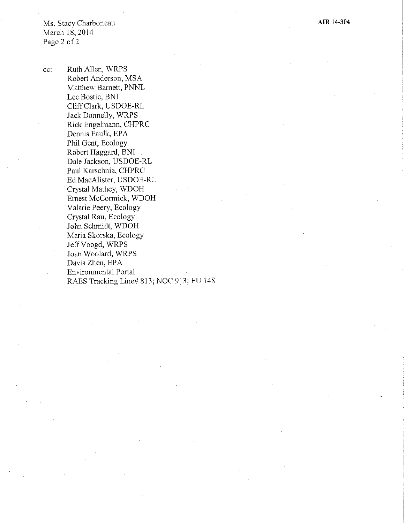Ms. Stacy Charboneau March 18, 2014 Page 2 of 2

cc: Ruth Allen, WRPS Robert Anderson, MSA Matthew Barnett, PNNL Lee Bostic, BNI CliffClark, USDOE-RL Jack Donnelly, WRPS Rick Engelmann, CHPRC Dennis Faulk, EPA Phil Gent, Ecology Robert Haggard, BNI Dale Jackson, USDOE-RL Paul Karschnia, CHPRC Ed MacAlister, USDOE-RL Crystal Mathey, WDOH Ernest McConnick, WDOH Valarie Peery, Ecology Crystal Rau, Ecology John Schmidt, WDOH Maria Skorska, Ecology JeffVoogd, WRPS Joan Woolard, WRPS Davis Zhen, EPA Environmental Portal RAES Tracking Line# 813; NOC 913; EU 148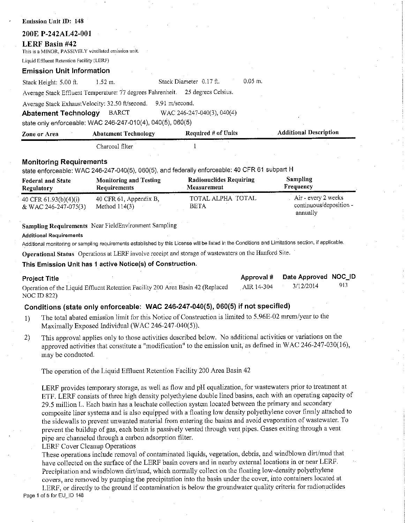| Emission Unit ID: 148                                                          |                                                                                                                                                                                                                                                                                                                                                                                                                                                  |                                               |                                                                                                                                                                                                                                                                                                                                                                                                                                                               |
|--------------------------------------------------------------------------------|--------------------------------------------------------------------------------------------------------------------------------------------------------------------------------------------------------------------------------------------------------------------------------------------------------------------------------------------------------------------------------------------------------------------------------------------------|-----------------------------------------------|---------------------------------------------------------------------------------------------------------------------------------------------------------------------------------------------------------------------------------------------------------------------------------------------------------------------------------------------------------------------------------------------------------------------------------------------------------------|
| 200E P-242AL42-001                                                             |                                                                                                                                                                                                                                                                                                                                                                                                                                                  |                                               |                                                                                                                                                                                                                                                                                                                                                                                                                                                               |
| <b>LERF Basin #42</b><br>This is a MINOR, PASSIVELY ventilated emission unit.  |                                                                                                                                                                                                                                                                                                                                                                                                                                                  |                                               |                                                                                                                                                                                                                                                                                                                                                                                                                                                               |
| Liquid Effluent Retention Facility (LERF)                                      |                                                                                                                                                                                                                                                                                                                                                                                                                                                  |                                               |                                                                                                                                                                                                                                                                                                                                                                                                                                                               |
| <b>Emission Unit Information</b>                                               |                                                                                                                                                                                                                                                                                                                                                                                                                                                  |                                               |                                                                                                                                                                                                                                                                                                                                                                                                                                                               |
| Stack Height: 5.00 ft.                                                         | 1.52 m.                                                                                                                                                                                                                                                                                                                                                                                                                                          | $0.05$ m.<br>Stack Diameter 0.17 ft.          |                                                                                                                                                                                                                                                                                                                                                                                                                                                               |
|                                                                                | Average Stack Effluent Temperature: 77 degrees Fahrenheit.                                                                                                                                                                                                                                                                                                                                                                                       | 25 degrees Celsius.                           |                                                                                                                                                                                                                                                                                                                                                                                                                                                               |
| Average Stack ExhaustVelocity: 32.50 ft/second.<br><b>Abatement Technology</b> | 9.91 m/second.<br><b>BARCT</b><br>state only enforceable: WAC 246-247-010(4), 040(5), 060(5)                                                                                                                                                                                                                                                                                                                                                     | WAC 246-247-040(3), 040(4)                    |                                                                                                                                                                                                                                                                                                                                                                                                                                                               |
| Zone or Area                                                                   | <b>Abatement Technology</b>                                                                                                                                                                                                                                                                                                                                                                                                                      | Required # of Units                           | <b>Additional Description</b>                                                                                                                                                                                                                                                                                                                                                                                                                                 |
|                                                                                | Charcoal filter                                                                                                                                                                                                                                                                                                                                                                                                                                  |                                               |                                                                                                                                                                                                                                                                                                                                                                                                                                                               |
|                                                                                |                                                                                                                                                                                                                                                                                                                                                                                                                                                  |                                               |                                                                                                                                                                                                                                                                                                                                                                                                                                                               |
| <b>Monitoring Requirements</b>                                                 | state enforceable: WAC 246-247-040(5), 060(5), and federally enforceable: 40 CFR 61 subpart H                                                                                                                                                                                                                                                                                                                                                    |                                               |                                                                                                                                                                                                                                                                                                                                                                                                                                                               |
| <b>Federal and State</b><br>Regulatory                                         | <b>Monitoring and Testing</b><br>Requirements                                                                                                                                                                                                                                                                                                                                                                                                    | <b>Radionuclides Requiring</b><br>Measurement | <b>Sampling</b><br>Frequency                                                                                                                                                                                                                                                                                                                                                                                                                                  |
| 40 CFR 61.93(b)(4)(i)<br>& WAC 246-247-075(3)                                  | 40 CFR 61, Appendix B,<br>Method $114(3)$                                                                                                                                                                                                                                                                                                                                                                                                        | TOTAL ALPHA TOTAL<br><b>BETA</b>              | Air - every 2 weeks<br>continuous/deposition -<br>annually                                                                                                                                                                                                                                                                                                                                                                                                    |
|                                                                                | Additional monitoring or sampling requirements established by this License will be listed in the Conditions and Limitations section, if applicable.<br>Operational Status Operations at LERF involve receipt and storage of wastewaters on the Hanford Site.<br>This Emission Unit has 1 active Notice(s) of Construction.                                                                                                                       |                                               |                                                                                                                                                                                                                                                                                                                                                                                                                                                               |
| <b>Project Title</b><br><b>NOC ID 822)</b>                                     | Operation of the Liquid Effluent Retention Facility 200 Area Basin 42 (Replaced                                                                                                                                                                                                                                                                                                                                                                  |                                               | Date Approved NOC_ID<br>Approval #<br>913<br>3/12/2014<br>AIR 14-304                                                                                                                                                                                                                                                                                                                                                                                          |
|                                                                                | Conditions (state only enforceable: WAC 246-247-040(5), 060(5) if not specified)                                                                                                                                                                                                                                                                                                                                                                 |                                               |                                                                                                                                                                                                                                                                                                                                                                                                                                                               |
| 1)                                                                             | The total abated emission limit for this Notice of Construction is limited to 5.96E-02 mrem/year to the<br>Maximally Exposed Individual (WAC 246-247-040(5)).                                                                                                                                                                                                                                                                                    |                                               |                                                                                                                                                                                                                                                                                                                                                                                                                                                               |
| 2)<br>may be conducted.                                                        | This approval applies only to those activities described below. No additional activities or variations on the                                                                                                                                                                                                                                                                                                                                    |                                               | approved activities that constitute a "modification" to the emission unit, as defined in WAC 246-247-030(16),                                                                                                                                                                                                                                                                                                                                                 |
|                                                                                | The operation of the Liquid Effluent Retention Facility 200 Area Basin 42                                                                                                                                                                                                                                                                                                                                                                        |                                               |                                                                                                                                                                                                                                                                                                                                                                                                                                                               |
|                                                                                | 29.5 million L. Each basin has a leachate collection system located between the primary and secondary<br>prevent the buildup of gas, each basin is passively vented through vent pipes. Gases exiting through a vent<br>pipe are channeled through a carbon adsorption filter.<br><b>LERF Cover Cleanup Operations</b><br>These operations include removal of contaminated liquids, vegetation, debris, and windblown dirt/mud that              |                                               | LERF provides temporary storage, as well as flow and pH equalization, for wastewaters prior to treatment at<br>ETF. LERF consists of three high density polyethylene double lined basins, each with an operating capacity of<br>composite liner systems and is also equipped with a floating low density polyethylene cover firmly attached to<br>the sidewalls to prevent unwanted material from entering the basins and avoid evaporation of wastewater. To |
| Page 1 of 5 for EU_ID 148                                                      | have collected on the surface of the LERF basin covers and in nearby external locations in or near LERF.<br>Precipitation and windblown dirt/mud, which normally collect on the floating low-density polyethylene<br>covers, are removed by pumping the precipitation into the basin under the cover, into containers located at<br>LERF, or directly to the ground if contamination is below the groundwater quality criteria for radionuclides |                                               |                                                                                                                                                                                                                                                                                                                                                                                                                                                               |
|                                                                                |                                                                                                                                                                                                                                                                                                                                                                                                                                                  |                                               |                                                                                                                                                                                                                                                                                                                                                                                                                                                               |

 $\mathcal{O}_\mathcal{C}$ 

 $\label{eq:2} \frac{1}{\gamma} \sum_{i=1}^N \frac{1}{\gamma_i} \sum_{j=1}^N \frac{1}{\gamma_j} \sum_{j=1}^N \frac{1}{\gamma_j} \sum_{j=1}^N \frac{1}{\gamma_j} \sum_{j=1}^N \frac{1}{\gamma_j} \sum_{j=1}^N \frac{1}{\gamma_j} \sum_{j=1}^N \frac{1}{\gamma_j} \sum_{j=1}^N \frac{1}{\gamma_j} \sum_{j=1}^N \frac{1}{\gamma_j} \sum_{j=1}^N \frac{1}{\gamma_j} \sum_{j=1}^N \frac{1}{\gamma_j} \sum_{j=1}$ 

 $\frac{1}{\sqrt{2}}\sum_{i=1}^{n} \frac{1}{\sqrt{2}}\left(\frac{1}{\sqrt{2}}\right)^2\left(\frac{1}{\sqrt{2}}\right)^2\left(\frac{1}{\sqrt{2}}\right)^2\left(\frac{1}{\sqrt{2}}\right)^2\left(\frac{1}{\sqrt{2}}\right)^2.$ 

 $\frac{1}{2}$ 

 $\frac{1}{2}$ 

 $\mathcal{L}^{\text{max}}_{\text{max}}$  and  $\mathcal{L}^{\text{max}}_{\text{max}}$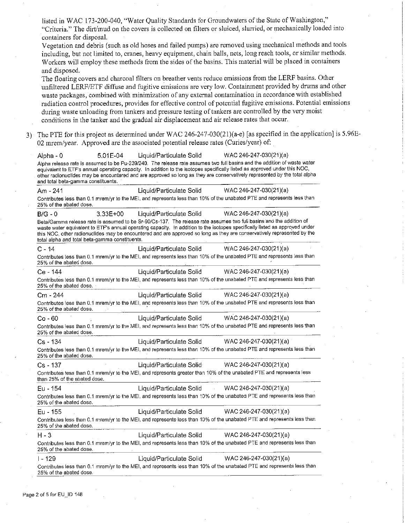|    | listed in WAC 173-200-040, "Water Quality Standards for Groundwaters of the State of Washington,"<br>"Criteria." The dirt/mud on the covers is collected on filters or sluiced, slurried, or mechanically loaded into<br>containers for disposal.                                                                                                                                                                                                                                                                                                                                                                                                          |  |
|----|------------------------------------------------------------------------------------------------------------------------------------------------------------------------------------------------------------------------------------------------------------------------------------------------------------------------------------------------------------------------------------------------------------------------------------------------------------------------------------------------------------------------------------------------------------------------------------------------------------------------------------------------------------|--|
|    | Vegetation and debris (such as old hoses and failed pumps) are removed using mechanical methods and tools<br>including, but not limited to, cranes, heavy equipment, chain balls, nets, long reach tools, or similar methods.<br>Workers will employ these methods from the sides of the basins. This material will be placed in containers                                                                                                                                                                                                                                                                                                                |  |
|    | and disposed.                                                                                                                                                                                                                                                                                                                                                                                                                                                                                                                                                                                                                                              |  |
|    | The floating covers and charcoal filters on breather vents reduce emissions from the LERF basins. Other<br>unfiltered LERF/ETF diffuse and fugitive emissions are very low. Containment provided by drums and other<br>waste packages, combined with minimization of any external contamination in accordance with established<br>radiation control procedures, provides for effective control of potential fugitive emissions. Potential emissions<br>during waste unloading from tankers and pressure testing of tankers are controlled by the very moist<br>conditions in the tanker and the gradual air displacement and air release rates that occur. |  |
|    |                                                                                                                                                                                                                                                                                                                                                                                                                                                                                                                                                                                                                                                            |  |
| 3) | The PTE for this project as determined under WAC 246-247-030(21)(a-e) [as specified in the application] is 5.96E-<br>02 mrem/year. Approved are the associated potential release rates (Curies/year) of:                                                                                                                                                                                                                                                                                                                                                                                                                                                   |  |
|    | Liquid/Particulate Solid<br>WAC 246-247-030(21)(a)<br>Alpha - 0<br>5.01E-04<br>Alpha release rate is assumed to be Pu-239/240. The release rate assumes two full basins and the addition of waste water<br>equivalent to ETF's annual operating capacity. In addition to the isotopes specifically listed as approved under this NOC,<br>other radionuclides may be encountered and are approved so long as they are conservatively represented by the total alpha<br>and total beta-gamma constituents.                                                                                                                                                   |  |
|    | Liquid/Particulate Solid WAC 246-247-030(21)(a)<br>Am - 241                                                                                                                                                                                                                                                                                                                                                                                                                                                                                                                                                                                                |  |
|    | Contributes less than 0.1 mrem/yr to the MEI, and represents less than 10% of the unabated PTE and represents less than<br>25% of the abated dose.                                                                                                                                                                                                                                                                                                                                                                                                                                                                                                         |  |
|    | Liquid/Particulate Solid<br>WAC 246-247-030(21)(a)<br>$B/G - 0$<br>$3.33E + 00$                                                                                                                                                                                                                                                                                                                                                                                                                                                                                                                                                                            |  |
|    | Beta/Gamma release rate is assumed to be Sr-90/Cs-137. The release rate assumes two full basins and the addition of<br>waste water equivalent to ETF's annual operating capacity. In addition to the isotopes specifically listed as approved under<br>this NOC, other radionuclides may be encountered and are approved so long as they are conservatively represented by the<br>total alpha and total beta-gamma constituents.                                                                                                                                                                                                                           |  |
|    | Liquid/Particulate Solid WAC 246-247-030(21)(a)<br>$C - 14$                                                                                                                                                                                                                                                                                                                                                                                                                                                                                                                                                                                                |  |
|    | Contributes less than 0.1 mrem/yr to the MEI, and represents less than 10% of the unabated PTE and represents less than<br>25% of the abated dose.                                                                                                                                                                                                                                                                                                                                                                                                                                                                                                         |  |
|    | Liquid/Particulate Solid WAC 246-247-030(21)(a)<br>Ce - 144                                                                                                                                                                                                                                                                                                                                                                                                                                                                                                                                                                                                |  |
|    | Contributes less than 0.1 mrem/yr to the MEI, and represents less than 10% of the unabated PTE and represents less than<br>25% of the abated dose.                                                                                                                                                                                                                                                                                                                                                                                                                                                                                                         |  |
|    | Liquid/Particulate Solid WAC 246-247-030(21)(a)<br>Cm - 244                                                                                                                                                                                                                                                                                                                                                                                                                                                                                                                                                                                                |  |
|    | Contributes less than 0.1 mrem/yr to the MEI, and represents less than 10% of the unabated PTE and represents less than<br>25% of the abated dose.                                                                                                                                                                                                                                                                                                                                                                                                                                                                                                         |  |
|    | Liquid/Particulate Solid<br>WAC 246-247-030(21)(a)<br>$Co - 60$                                                                                                                                                                                                                                                                                                                                                                                                                                                                                                                                                                                            |  |
|    | Contributes less than 0.1 mrem/yr to the MEI, and represents less than 10% of the unabated PTE and represents less than<br>25% of the abated dose.                                                                                                                                                                                                                                                                                                                                                                                                                                                                                                         |  |
|    | WAC 246-247-030(21)(a)<br>$Cs - 134$<br>Liquid/Particulate Solid                                                                                                                                                                                                                                                                                                                                                                                                                                                                                                                                                                                           |  |
|    | Contributes less than 0.1 mrem/yr to the MEI, and represents less than 10% of the unabated PTE and represents less than<br>25% of the abated dose.                                                                                                                                                                                                                                                                                                                                                                                                                                                                                                         |  |
|    | WAC 246-247-030(21)(a)<br>$Cs - 137$<br>Liquid/Particulate Solid                                                                                                                                                                                                                                                                                                                                                                                                                                                                                                                                                                                           |  |
|    | Contributes less than 0.1 mrem/yr to the MEI, and represents greater than 10% of the unabated PTE and represents less<br>than 25% of the abated dose.                                                                                                                                                                                                                                                                                                                                                                                                                                                                                                      |  |
|    | Eu - 154<br>WAC 246-247-030(21)(a)<br>Liquid/Particulate Solid                                                                                                                                                                                                                                                                                                                                                                                                                                                                                                                                                                                             |  |
|    | Contributes less than 0.1 mrem/yr to the MEI, and represents less than 10% of the unabated PTE and represents less than<br>25% of the abated dose.                                                                                                                                                                                                                                                                                                                                                                                                                                                                                                         |  |
|    | Eu - 155<br>Liquid/Particulate Solid<br>WAC 246-247-030(21)(a)                                                                                                                                                                                                                                                                                                                                                                                                                                                                                                                                                                                             |  |
|    | Contributes less than 0.1 mrem/yr to the MEI, and represents less than 10% of the unabated PTE and represents less than<br>25% of the abated dose.                                                                                                                                                                                                                                                                                                                                                                                                                                                                                                         |  |
|    | $H - 3$<br>Liquid/Particulate Solid<br>WAC 246-247-030(21)(a)                                                                                                                                                                                                                                                                                                                                                                                                                                                                                                                                                                                              |  |
|    | Contributes less than 0.1 mrem/yr to the MEI, and represents less than 10% of the unabated PTE and represents less than<br>25% of the abated dose.                                                                                                                                                                                                                                                                                                                                                                                                                                                                                                         |  |
|    | Liquid/Particulate Solid<br>WAC 246-247-030(21)(a)<br>I - 129                                                                                                                                                                                                                                                                                                                                                                                                                                                                                                                                                                                              |  |
|    | Contributes less than 0.1 mrem/yr to the MEI, and represents less than 10% of the unabated PTE and represents less than<br>25% of the abated dose.                                                                                                                                                                                                                                                                                                                                                                                                                                                                                                         |  |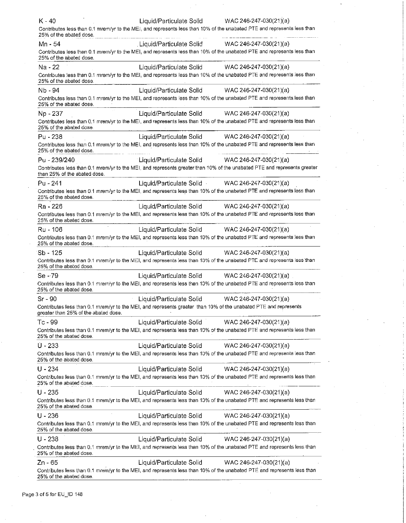| $K - 40$<br>25% of the abated dose.  | Contributes less than 0.1 mrem/yr to the MEI, and represents less than 10% of the unabated PTE and represents less than                             | Liquid/Particulate Solid WAC 246-247-030(21)(a)                                                                          |
|--------------------------------------|-----------------------------------------------------------------------------------------------------------------------------------------------------|--------------------------------------------------------------------------------------------------------------------------|
| Mn - 54<br>25% of the abated dose.   | Liquid/Particulate Solid<br>Contributes less than 0.1 mrem/yr to the MEI, and represents less than 10% of the unabated PTE and represents less than | WAC 246-247-030(21)(a)                                                                                                   |
| Na - 22<br>25% of the abated dose.   | Liquid/Particulate Solid<br>Contributes less than 0.1 mrem/yr to the MEI, and represents less than 10% of the unabated PTE and represents less than | $WAC 246-247-030(21)(a)$                                                                                                 |
| Nb - 94                              | Liquid/Particulate Solid                                                                                                                            | WAC 246-247-030(21)(a)                                                                                                   |
| 25% of the abated dose.              | Contributes less than 0.1 mrem/yr to the MEI, and represents less than 10% of the unabated PTE and represents less than                             |                                                                                                                          |
| Np - 237                             | Liquid/Particulate Solid                                                                                                                            | WAC 246-247-030(21)(a)                                                                                                   |
| 25% of the abated dose.              | Contributes less than 0.1 mrem/yr to the MEI, and represents less than 10% of the unabated PTE and represents less than                             |                                                                                                                          |
| Pu - 238                             | Liquid/Particulate Solid                                                                                                                            | WAC 246-247-030(21)(a)                                                                                                   |
| 25% of the abated dose.              | Contributes less than 0.1 mrem/yr to the MEI, and represents less than 10% of the unabated PTE and represents less than                             |                                                                                                                          |
| Pu - 239/240                         |                                                                                                                                                     | Liquid/Particulate Solid WAC 246-247-030(21)(a)                                                                          |
| than 25% of the abated dose.         |                                                                                                                                                     | Contributes less than 0.1 mrem/yr to the MEI, and represents greater than 10% of the unabated PTE and represents greater |
| Pu - 241                             |                                                                                                                                                     | Liquid/Particulate Solid WAC 246-247-030(21)(a)                                                                          |
| 25% of the abated dose.              | Contributes less than 0.1 mrem/yr to the MEI, and represents less than 10% of the unabated PTE and represents less than                             |                                                                                                                          |
| Ra - 226                             |                                                                                                                                                     | Liquid/Particulate Solid WAC 246-247-030(21)(a)                                                                          |
| 25% of the abated dose.              | Contributes less than 0.1 mrem/yr to the MEI, and represents less than 10% of the unabated PTE and represents less than                             |                                                                                                                          |
| Ru - 106                             |                                                                                                                                                     | Liquid/Particulate Solid WAC 246-247-030(21)(a)                                                                          |
|                                      | Contributes less than 0.1 mrem/yr to the MEI, and represents less than 10% of the unabated PTE and represents less than                             |                                                                                                                          |
| 25% of the abated dose.              |                                                                                                                                                     |                                                                                                                          |
| Sb - 125                             |                                                                                                                                                     | Liquid/Particulate Solid WAC 246-247-030(21)(a)                                                                          |
| 25% of the abated dose.              | Contributes less than 0.1 mrem/yr to the MEI, and represents less than 10% of the unabated PTE and represents less than                             |                                                                                                                          |
| $Se - 79$                            |                                                                                                                                                     | Liquid/Particulate Solid WAC 246-247-030(21)(a)                                                                          |
| 25% of the abated dose.              | Contributes less than 0.1 mrem/yr to the MEI, and represents less than 10% of the unabated PTE and represents less than                             |                                                                                                                          |
| Sr - 90                              |                                                                                                                                                     | Liquid/Particulate Solid WAC 246-247-030(21)(a)                                                                          |
| greater than 25% of the abated dose. | Contributes less than 0.1 mrem/yr to the MEI, and represents greater than 10% of the unabated PTE and represents                                    |                                                                                                                          |
| Tc - 99                              | Liquid/Particulate Solid                                                                                                                            | WAC 246-247-030(21)(a)                                                                                                   |
| 25% of the abated dose.              | Contributes less than 0.1 mrem/yr to the MEI, and represents less than 10% of the unabated PTE and represents less than                             |                                                                                                                          |
| $U - 233$                            | Liquid/Particulate Solid                                                                                                                            | WAC 246-247-030(21)(a)                                                                                                   |
| 25% of the abated dose.              | Contributes less than 0.1 mrem/yr to the MEI, and represents less than 10% of the unabated PTE and represents less than                             |                                                                                                                          |
| $U - 234$                            | Liquid/Particulate Solid                                                                                                                            | WAC 246-247-030(21)(a)                                                                                                   |
| 25% of the abated dose.              | Contributes less than 0.1 mrem/yr to the MEI, and represents less than 10% of the unabated PTE and represents less than                             |                                                                                                                          |
| $U - 235$                            |                                                                                                                                                     | Liquid/Particulate Solid WAC 246-247-030(21)(a)                                                                          |
| 25% of the abated dose.              | Contributes less than 0.1 mrem/yr to the MEI, and represents less than 10% of the unabated PTE and represents less than                             |                                                                                                                          |
| $U - 236$                            | Liquid/Particulate Solid                                                                                                                            | WAC 246-247-030(21)(a)                                                                                                   |
| 25% of the abated dose.              | Contributes less than 0.1 mrem/yr to the MEI, and represents less than 10% of the unabated PTE and represents less than                             |                                                                                                                          |
| $U - 238$                            | Liquid/Particulate Solid                                                                                                                            | WAC 246-247-030(21)(a)                                                                                                   |
| 25% of the abated dose.              | Contributes less than 0.1 mrem/yr to the MEI, and represents less than 10% of the unabated PTE and represents less than                             |                                                                                                                          |
| Zn - 65                              |                                                                                                                                                     | Liquid/Particulate Solid WAC 246-247-030(21)(a)                                                                          |
| 25% of the abated dose.              |                                                                                                                                                     | Contributes less than 0.1 mrem/yr to the MEI, and represents less than 10% of the unabated PTE and represents less than  |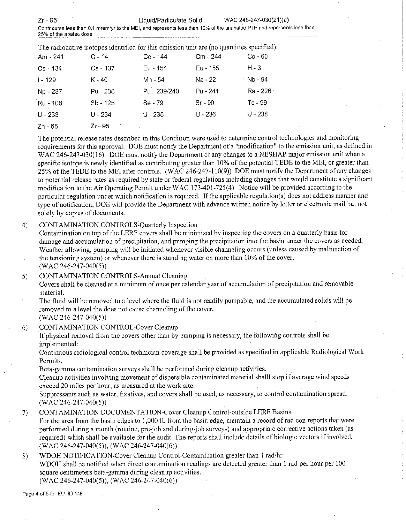Zr-95 Liquid/Particulate Solid WAC 246-247-030(21)(a) **Contributes less than 0.1 mrem/yr to the MEI, and represents less than 10% of the unabated PTE and represents less than 25% of the abated dose.** 

The radioactive isotopes identified for this emission unit are (no quantities specified): Am - 241 C - 14 Ce - 144 Cm - 244 Co - 60 Cs - 134 Cs - 137 Eu - 154 Eu - 155 H-3 1-129 K-40 Mn - 54 Na -22 Nb - 94 Np - 237 Pu - 238 Pu - 239/240 Pu - 241 Ra - 226 Ru - 106 Sb - 125 Se-79 Sr- 90 Tc - 99 U - 233 U -234 U - 235 U -236 U - 238 Zn - 65 Zr-95

The potential release rates described in this Condition were used to detennine control technologies and monitoring requirements for this approval. DOE must notify the Department of a "modification" to the emission unit, as defined in WAC 246-247-030(16). DOE must notify the Department of any changes to a NESHAP major emission unit when a specific isotope is newly identified as contributing greater than  $10\%$  of the potential TEDE to the MEI, or greater than 25% of the TEDE to the MEI after controls. (WAC 246-247-110(9)) DOE must notify the Department of any changes to potential release rates as required by state or federal regulations including changes that would constitute a significant modification to the Air Operating Permit under WAC 173-401-725(4). Notice will be provided according to the particular regulation under which notification is required. If the applicable regulation(s) does not address manner and type of notification, DOE will provide the Department with advance written notice by letter or electronic mail but not solely by copies of documents.

### 4) CONTAMINATION CONTROLS-Quarterly Inspection

Contamination on top of the LERF covers shall be minimized by inspecting the covers on a quarterly basis for damage and accumulation of precipitation, and pumping the precipitation into the basin under the covers as needed, Weather allowing, pumping will be initiated whenever visible channeling occurs (unless caused by malfunction of the tensioning system) or whenever there is standing water on more than 10% of the cover. (WAC 246-247-040(5))

5) CONTAMINATION CONTROLS-Annual Cleaning

Covers shall be cleaned at a minimum of once per calendar year of accumulation of precipitation and removable material.

The fluid will be removed to a level where the fluid is not readily pumpable, and the accumulated solids will be removed to a level the does not cause channeling of the cover.

(WAC 246-247-040(5))

## 6) CONTAMINATION CONTROL-Cover Cleanup

If physical removal from the covers other than by pumping is necessary, the following controls shall be implemented:

Continuous radiological control technician coverage shall be provided as specified in applicable Radiological Work Permits.

Beta-gamma contamination surveys shall be performed during cleanup activities.

Cleanup activities involving movement of dispersible contaminated material shalll stop if average wind speeds exceed 20 miles per hour, as measured at the work site.

Suppressants such as water, fixatives, and covers shall be used, as necessary, to control contamination spread. (WAC 246-247-040(5))

#### 7) CONTAMINATION DOCUMENTATION-Cover Cleanup Control-outside **LERF** Basins

For the area from the basin edges to 1,000 ft, from the basin edge, maintain a record of rad con reports that were perfonned during a month (routine, pre-job and during-job surveys) and appropriate corrective actions taken (as required) which shall be available for the audit. The reports shall include details of biologic vectors if involved. (WAC 246-247-040(5)), (WAC 246-247-040(6))

#### 8) WDOH NOTIFICATION-Cover Cleanup Control-Contamination greater than I rad/hr WDOH shall be notified when direct contamination readings are detected greater than 1 rad per hour per 100

square centimeters beta-gamma during cleanup activities.

(WAC 246-247-040(5)), (WAC 246-247-040(6))